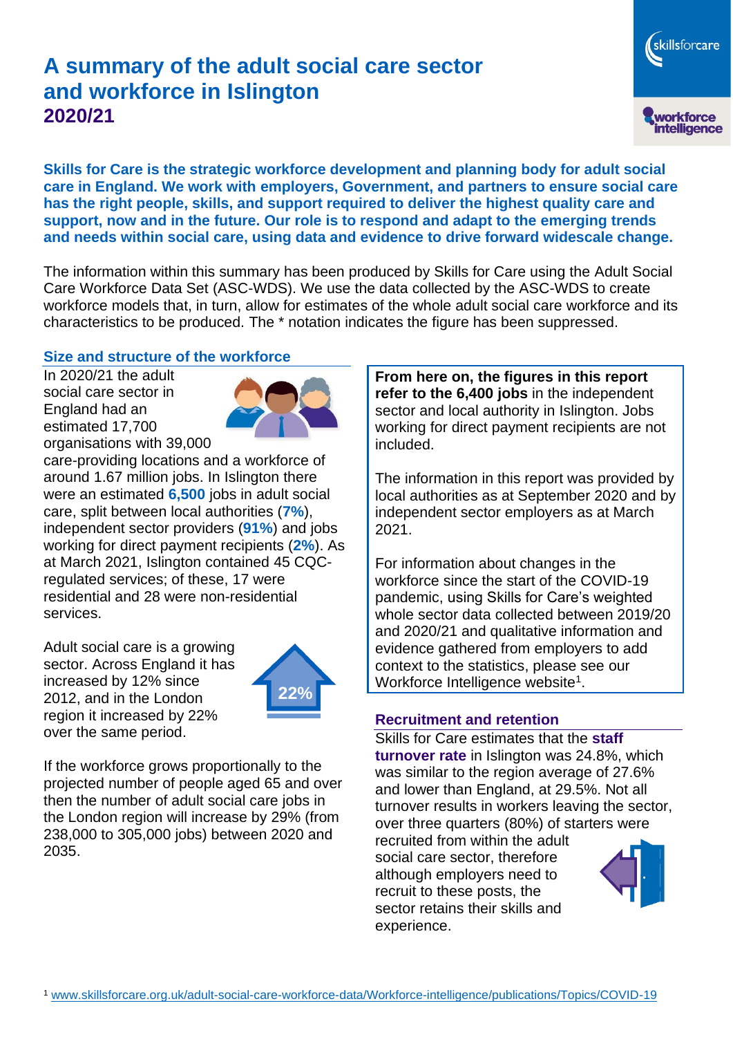# **A summary of the adult social care sector and workforce in Islington 2020/21**

skillsforcare workforce<br>intelligence

**Skills for Care is the strategic workforce development and planning body for adult social care in England. We work with employers, Government, and partners to ensure social care has the right people, skills, and support required to deliver the highest quality care and support, now and in the future. Our role is to respond and adapt to the emerging trends and needs within social care, using data and evidence to drive forward widescale change.**

The information within this summary has been produced by Skills for Care using the Adult Social Care Workforce Data Set (ASC-WDS). We use the data collected by the ASC-WDS to create workforce models that, in turn, allow for estimates of the whole adult social care workforce and its characteristics to be produced. The \* notation indicates the figure has been suppressed.

#### **Size and structure of the workforce**

In 2020/21 the adult social care sector in England had an estimated 17,700 organisations with 39,000



care-providing locations and a workforce of around 1.67 million jobs. In Islington there were an estimated **6,500** jobs in adult social care, split between local authorities (**7%**), independent sector providers (**91%**) and jobs working for direct payment recipients (**2%**). As at March 2021, Islington contained 45 CQCregulated services; of these, 17 were residential and 28 were non-residential services.

Adult social care is a growing sector. Across England it has increased by 12% since 2012, and in the London region it increased by 22% over the same period.



If the workforce grows proportionally to the projected number of people aged 65 and over then the number of adult social care jobs in the London region will increase by 29% (from 238,000 to 305,000 jobs) between 2020 and 2035.

**From here on, the figures in this report refer to the 6,400 jobs** in the independent sector and local authority in Islington. Jobs working for direct payment recipients are not included.

The information in this report was provided by local authorities as at September 2020 and by independent sector employers as at March 2021.

For information about changes in the workforce since the start of the COVID-19 pandemic, using Skills for Care's weighted whole sector data collected between 2019/20 and 2020/21 and qualitative information and evidence gathered from employers to add context to the statistics, please see our Workforce Intelligence website<sup>1</sup>.

#### **Recruitment and retention**

Skills for Care estimates that the **staff turnover rate** in Islington was 24.8%, which was similar to the region average of 27.6% and lower than England, at 29.5%. Not all turnover results in workers leaving the sector, over three quarters (80%) of starters were

recruited from within the adult social care sector, therefore although employers need to recruit to these posts, the sector retains their skills and experience.

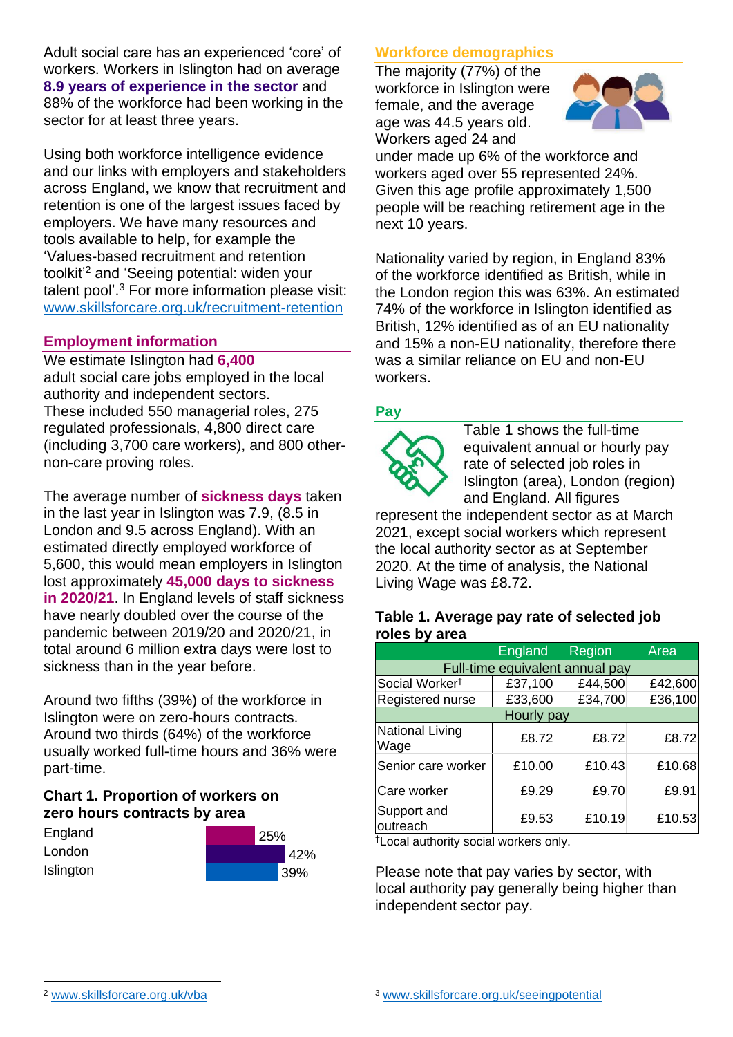Adult social care has an experienced 'core' of workers. Workers in Islington had on average **8.9 years of experience in the sector** and 88% of the workforce had been working in the sector for at least three years.

Using both workforce intelligence evidence and our links with employers and stakeholders across England, we know that recruitment and retention is one of the largest issues faced by employers. We have many resources and tools available to help, for example the 'Values-based recruitment and retention toolkit'<sup>2</sup> and 'Seeing potential: widen your talent pool'. <sup>3</sup> For more information please visit: [www.skillsforcare.org.uk/recruitment-retention](http://www.skillsforcare.org.uk/recruitment-retention)

#### **Employment information**

We estimate Islington had **6,400** adult social care jobs employed in the local authority and independent sectors. These included 550 managerial roles, 275 regulated professionals, 4,800 direct care (including 3,700 care workers), and 800 othernon-care proving roles.

The average number of **sickness days** taken in the last year in Islington was 7.9, (8.5 in London and 9.5 across England). With an estimated directly employed workforce of 5,600, this would mean employers in Islington lost approximately **45,000 days to sickness in 2020/21**. In England levels of staff sickness have nearly doubled over the course of the pandemic between 2019/20 and 2020/21, in total around 6 million extra days were lost to sickness than in the year before.

Around two fifths (39%) of the workforce in Islington were on zero-hours contracts. Around two thirds (64%) of the workforce usually worked full-time hours and 36% were part-time.

### **Chart 1. Proportion of workers on zero hours contracts by area**

| England   | 25% |  |     |
|-----------|-----|--|-----|
| London    |     |  | 42% |
| Islington |     |  | 39% |

### **Workforce demographics**

The majority (77%) of the workforce in Islington were female, and the average age was 44.5 years old. Workers aged 24 and



under made up 6% of the workforce and workers aged over 55 represented 24%. Given this age profile approximately 1,500 people will be reaching retirement age in the next 10 years.

Nationality varied by region, in England 83% of the workforce identified as British, while in the London region this was 63%. An estimated 74% of the workforce in Islington identified as British, 12% identified as of an EU nationality and 15% a non-EU nationality, therefore there was a similar reliance on EU and non-EU workers.

### **Pay**



Table 1 shows the full-time equivalent annual or hourly pay rate of selected job roles in Islington (area), London (region) and England. All figures

represent the independent sector as at March 2021, except social workers which represent the local authority sector as at September 2020. At the time of analysis, the National Living Wage was £8.72.

#### **Table 1. Average pay rate of selected job roles by area**

|                                 | <b>England</b> | <b>Region</b> | Area    |  |  |
|---------------------------------|----------------|---------------|---------|--|--|
| Full-time equivalent annual pay |                |               |         |  |  |
| Social Worker <sup>t</sup>      | £37,100        | £44,500       | £42,600 |  |  |
| Registered nurse                | £33,600        | £34,700       | £36,100 |  |  |
| Hourly pay                      |                |               |         |  |  |
| National Living<br>Wage         | £8.72          | £8.72         | £8.72   |  |  |
| Senior care worker              | £10.00         | £10.43        | £10.68  |  |  |
| Care worker                     | £9.29          | £9.70         | £9.91   |  |  |
| Support and<br>outreach         | £9.53          | £10.19        | £10.53  |  |  |

†Local authority social workers only.

Please note that pay varies by sector, with local authority pay generally being higher than independent sector pay.